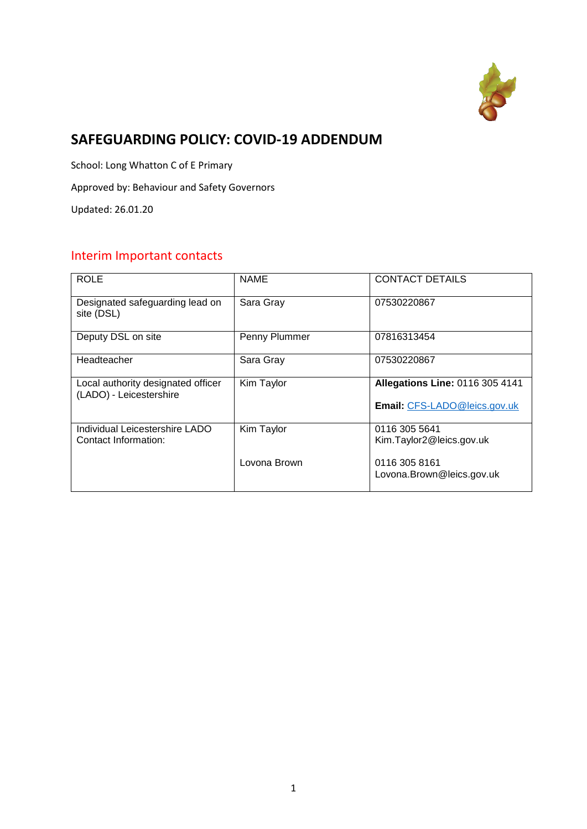

# **SAFEGUARDING POLICY: COVID-19 ADDENDUM**

School: Long Whatton C of E Primary

Approved by: Behaviour and Safety Governors

Updated: 26.01.20

# Interim Important contacts

| <b>ROLE</b>                                                   | <b>NAME</b>   | <b>CONTACT DETAILS</b>                                                 |
|---------------------------------------------------------------|---------------|------------------------------------------------------------------------|
| Designated safeguarding lead on<br>site (DSL)                 | Sara Gray     | 07530220867                                                            |
| Deputy DSL on site                                            | Penny Plummer | 07816313454                                                            |
| Headteacher                                                   | Sara Gray     | 07530220867                                                            |
| Local authority designated officer<br>(LADO) - Leicestershire | Kim Taylor    | <b>Allegations Line: 0116 305 4141</b><br>Email: CFS-LADO@leics.gov.uk |
|                                                               |               |                                                                        |
| Individual Leicestershire LADO<br>Contact Information:        | Kim Taylor    | 0116 305 5641<br>Kim.Taylor2@leics.gov.uk                              |
|                                                               | Lovona Brown  | 0116 305 8161<br>Lovona.Brown@leics.gov.uk                             |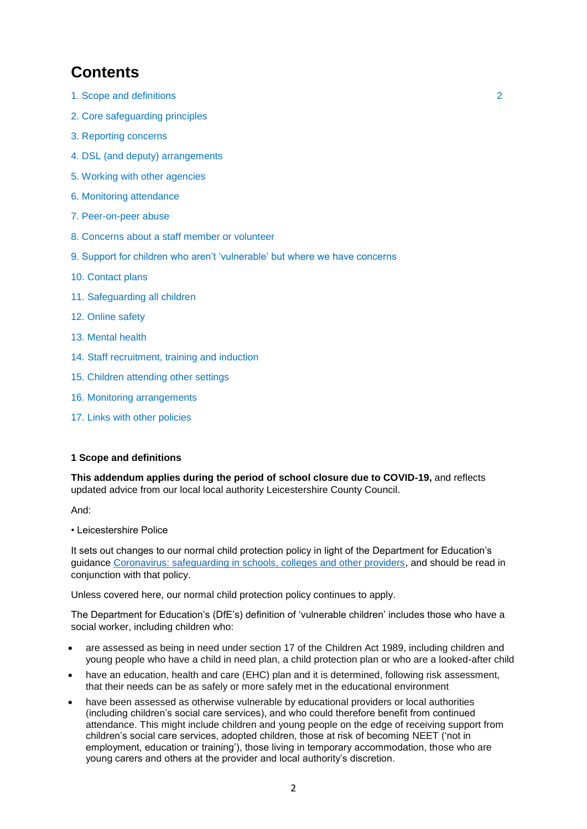# **Contents**

- 1. Scope and definitions 2
- 2. Core safeguarding principles
- 3. Reporting concerns
- 4. DSL (and deputy) arrangements
- 5. Working with other agencies
- 6. Monitoring attendance
- 7. Peer-on-peer abuse
- 8. Concerns about a staff member or volunteer
- 9. Support for children who aren't 'vulnerable' but where we have concerns
- 10. Contact plans
- 11. Safeguarding all children
- 12. Online safety
- 13. Mental health
- 14. Staff recruitment, training and induction
- 15. Children attending other settings
- 16. Monitoring arrangements
- 17. Links with other policies

#### **1 Scope and definitions**

**This addendum applies during the period of school closure due to COVID-19,** and reflects updated advice from our local local authority Leicestershire County Council.

And:

• Leicestershire Police

It sets out changes to our normal child protection policy in light of the Department for Education's guidance [Coronavirus: safeguarding in schools, colleges and other providers,](https://www.gov.uk/government/publications/covid-19-safeguarding-in-schools-colleges-and-other-providers) and should be read in conjunction with that policy.

Unless covered here, our normal child protection policy continues to apply.

The Department for Education's (DfE's) definition of 'vulnerable children' includes those who have a social worker, including children who:

- are assessed as being in need under section 17 of the Children Act 1989, including children and young people who have a child in need plan, a child protection plan or who are a looked-after child
- have an education, health and care (EHC) plan and it is determined, following risk assessment, that their needs can be as safely or more safely met in the educational environment
- have been assessed as otherwise vulnerable by educational providers or local authorities (including children's social care services), and who could therefore benefit from continued attendance. This might include children and young people on the edge of receiving support from children's social care services, adopted children, those at risk of becoming NEET ('not in employment, education or training'), those living in temporary accommodation, those who are young carers and others at the provider and local authority's discretion.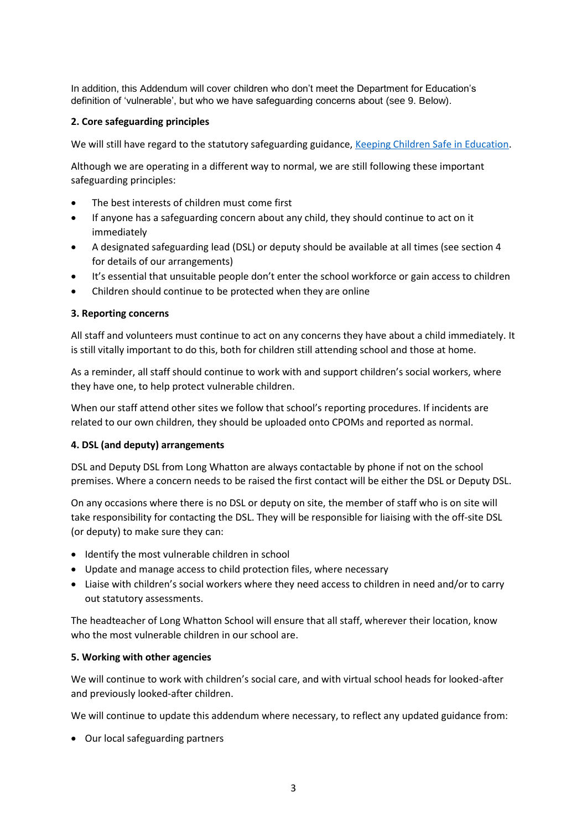In addition, this Addendum will cover children who don't meet the Department for Education's definition of 'vulnerable', but who we have safeguarding concerns about (see 9. Below).

# **2. Core safeguarding principles**

We will still have regard to the statutory safeguarding guidance, [Keeping Children Safe in Education.](https://www.gov.uk/government/publications/keeping-children-safe-in-education--2)

Although we are operating in a different way to normal, we are still following these important safeguarding principles:

- The best interests of children must come first
- If anyone has a safeguarding concern about any child, they should continue to act on it immediately
- A designated safeguarding lead (DSL) or deputy should be available at all times (see section 4 for details of our arrangements)
- It's essential that unsuitable people don't enter the school workforce or gain access to children
- Children should continue to be protected when they are online

#### **3. Reporting concerns**

All staff and volunteers must continue to act on any concerns they have about a child immediately. It is still vitally important to do this, both for children still attending school and those at home.

As a reminder, all staff should continue to work with and support children's social workers, where they have one, to help protect vulnerable children.

When our staff attend other sites we follow that school's reporting procedures. If incidents are related to our own children, they should be uploaded onto CPOMs and reported as normal.

#### **4. DSL (and deputy) arrangements**

DSL and Deputy DSL from Long Whatton are always contactable by phone if not on the school premises. Where a concern needs to be raised the first contact will be either the DSL or Deputy DSL.

On any occasions where there is no DSL or deputy on site, the member of staff who is on site will take responsibility for contacting the DSL. They will be responsible for liaising with the off-site DSL (or deputy) to make sure they can:

- Identify the most vulnerable children in school
- Update and manage access to child protection files, where necessary
- Liaise with children's social workers where they need access to children in need and/or to carry out statutory assessments.

The headteacher of Long Whatton School will ensure that all staff, wherever their location, know who the most vulnerable children in our school are.

#### **5. Working with other agencies**

We will continue to work with children's social care, and with virtual school heads for looked-after and previously looked-after children.

We will continue to update this addendum where necessary, to reflect any updated guidance from:

Our local safeguarding partners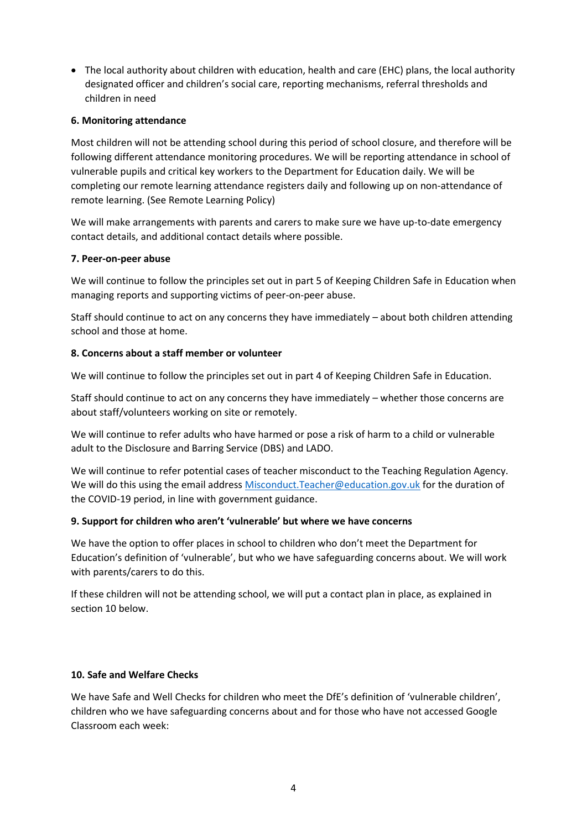The local authority about children with education, health and care (EHC) plans, the local authority designated officer and children's social care, reporting mechanisms, referral thresholds and children in need

# **6. Monitoring attendance**

Most children will not be attending school during this period of school closure, and therefore will be following different attendance monitoring procedures. We will be reporting attendance in school of vulnerable pupils and critical key workers to the Department for Education daily. We will be completing our remote learning attendance registers daily and following up on non-attendance of remote learning. (See Remote Learning Policy)

We will make arrangements with parents and carers to make sure we have up-to-date emergency contact details, and additional contact details where possible.

# **7. Peer-on-peer abuse**

We will continue to follow the principles set out in part 5 of Keeping Children Safe in Education when managing reports and supporting victims of peer-on-peer abuse.

Staff should continue to act on any concerns they have immediately – about both children attending school and those at home.

# **8. Concerns about a staff member or volunteer**

We will continue to follow the principles set out in part 4 of Keeping Children Safe in Education.

Staff should continue to act on any concerns they have immediately – whether those concerns are about staff/volunteers working on site or remotely.

We will continue to refer adults who have harmed or pose a risk of harm to a child or vulnerable adult to the Disclosure and Barring Service (DBS) and LADO.

We will continue to refer potential cases of teacher misconduct to the Teaching Regulation Agency. We will do this using the email address [Misconduct.Teacher@education.gov.uk](mailto:Misconduct.Teacher@education.gov.uk) for the duration of the COVID-19 period, in line with government guidance.

#### **9. Support for children who aren't 'vulnerable' but where we have concerns**

We have the option to offer places in school to children who don't meet the Department for Education's definition of 'vulnerable', but who we have safeguarding concerns about. We will work with parents/carers to do this.

If these children will not be attending school, we will put a contact plan in place, as explained in section 10 below.

# **10. Safe and Welfare Checks**

We have Safe and Well Checks for children who meet the DfE's definition of 'vulnerable children', children who we have safeguarding concerns about and for those who have not accessed Google Classroom each week: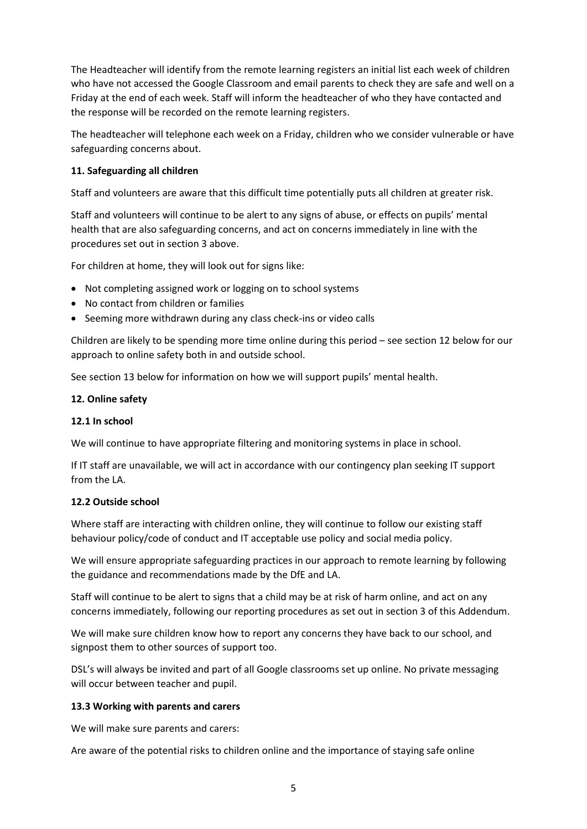The Headteacher will identify from the remote learning registers an initial list each week of children who have not accessed the Google Classroom and email parents to check they are safe and well on a Friday at the end of each week. Staff will inform the headteacher of who they have contacted and the response will be recorded on the remote learning registers.

The headteacher will telephone each week on a Friday, children who we consider vulnerable or have safeguarding concerns about.

# **11. Safeguarding all children**

Staff and volunteers are aware that this difficult time potentially puts all children at greater risk.

Staff and volunteers will continue to be alert to any signs of abuse, or effects on pupils' mental health that are also safeguarding concerns, and act on concerns immediately in line with the procedures set out in section 3 above.

For children at home, they will look out for signs like:

- Not completing assigned work or logging on to school systems
- No contact from children or families
- Seeming more withdrawn during any class check-ins or video calls

Children are likely to be spending more time online during this period – see section 12 below for our approach to online safety both in and outside school.

See section 13 below for information on how we will support pupils' mental health.

# **12. Online safety**

#### **12.1 In school**

We will continue to have appropriate filtering and monitoring systems in place in school.

If IT staff are unavailable, we will act in accordance with our contingency plan seeking IT support from the LA.

#### **12.2 Outside school**

Where staff are interacting with children online, they will continue to follow our existing staff behaviour policy/code of conduct and IT acceptable use policy and social media policy.

We will ensure appropriate safeguarding practices in our approach to remote learning by following the guidance and recommendations made by the DfE and LA.

Staff will continue to be alert to signs that a child may be at risk of harm online, and act on any concerns immediately, following our reporting procedures as set out in section 3 of this Addendum.

We will make sure children know how to report any concerns they have back to our school, and signpost them to other sources of support too.

DSL's will always be invited and part of all Google classrooms set up online. No private messaging will occur between teacher and pupil.

#### **13.3 Working with parents and carers**

We will make sure parents and carers:

Are aware of the potential risks to children online and the importance of staying safe online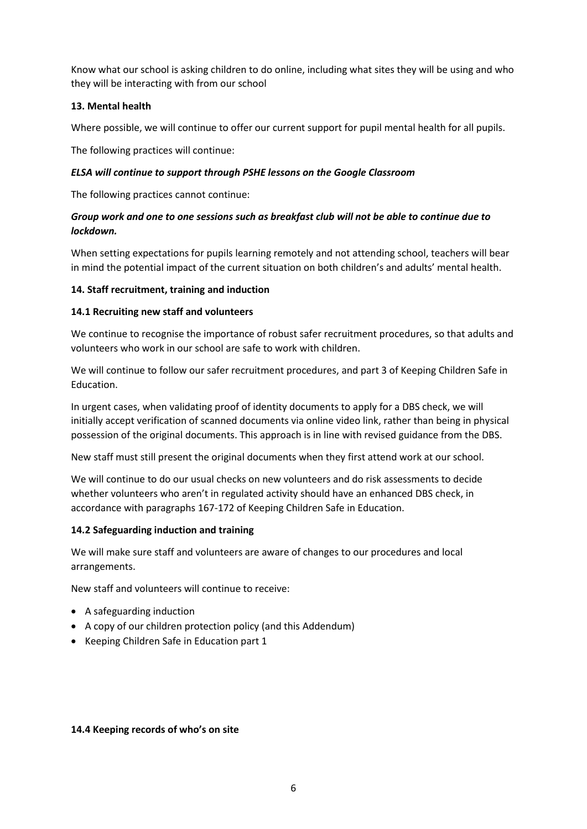Know what our school is asking children to do online, including what sites they will be using and who they will be interacting with from our school

# **13. Mental health**

Where possible, we will continue to offer our current support for pupil mental health for all pupils.

The following practices will continue:

#### *ELSA will continue to support through PSHE lessons on the Google Classroom*

The following practices cannot continue:

# *Group work and one to one sessions such as breakfast club will not be able to continue due to lockdown.*

When setting expectations for pupils learning remotely and not attending school, teachers will bear in mind the potential impact of the current situation on both children's and adults' mental health.

# **14. Staff recruitment, training and induction**

#### **14.1 Recruiting new staff and volunteers**

We continue to recognise the importance of robust safer recruitment procedures, so that adults and volunteers who work in our school are safe to work with children.

We will continue to follow our safer recruitment procedures, and part 3 of Keeping Children Safe in Education.

In urgent cases, when validating proof of identity documents to apply for a DBS check, we will initially accept verification of scanned documents via online video link, rather than being in physical possession of the original documents. This approach is in line with revised guidance from the DBS.

New staff must still present the original documents when they first attend work at our school.

We will continue to do our usual checks on new volunteers and do risk assessments to decide whether volunteers who aren't in regulated activity should have an enhanced DBS check, in accordance with paragraphs 167-172 of Keeping Children Safe in Education.

#### **14.2 Safeguarding induction and training**

We will make sure staff and volunteers are aware of changes to our procedures and local arrangements.

New staff and volunteers will continue to receive:

- A safeguarding induction
- A copy of our children protection policy (and this Addendum)
- Keeping Children Safe in Education part 1

#### **14.4 Keeping records of who's on site**